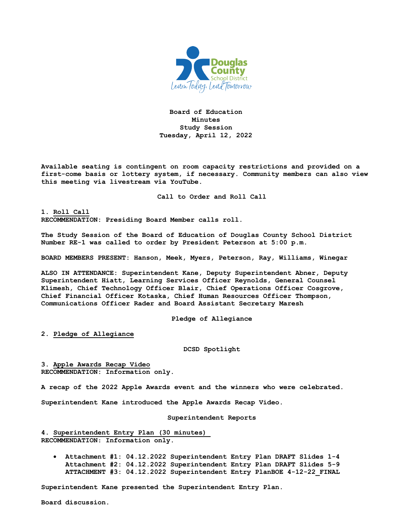

**Board of Education Minutes Study Session Tuesday, April 12, 2022**

**Available seating is contingent on room capacity restrictions and provided on a first-come basis or lottery system, if necessary. Community members can also view this meeting via livestream via YouTube.**

**Call to Order and Roll Call**

**1. Roll Call RECOMMENDATION: Presiding Board Member calls roll.** 

**The Study Session of the Board of Education of Douglas County School District Number RE-1 was called to order by President Peterson at 5:00 p.m.**

**BOARD MEMBERS PRESENT: Hanson, Meek, Myers, Peterson, Ray, Williams, Winegar**

**ALSO IN ATTENDANCE: Superintendent Kane, Deputy Superintendent Abner, Deputy Superintendent Hiatt, Learning Services Officer Reynolds, General Counsel Klimesh, Chief Technology Officer Blair, Chief Operations Officer Cosgrove, Chief Financial Officer Kotaska, Chief Human Resources Officer Thompson, Communications Officer Rader and Board Assistant Secretary Maresh**

**Pledge of Allegiance**

**2. Pledge of Allegiance**

**DCSD Spotlight**

**3. Apple Awards Recap Video RECOMMENDATION: Information only.** 

**A recap of the 2022 Apple Awards event and the winners who were celebrated.** 

**Superintendent Kane introduced the Apple Awards Recap Video.** 

## **Superintendent Reports**

**4. Superintendent Entry Plan (30 minutes) RECOMMENDATION**: **Information only.** 

• **Attachment #1: 04.12.2022 Superintendent Entry Plan DRAFT Slides 1-4 Attachment #2: 04.12.2022 Superintendent Entry Plan DRAFT Slides 5-9 ATTACHMENT #3: 04.12.2022 Superintendent Entry PlanBOE 4-12-22\_FINAL** 

**Superintendent Kane presented the Superintendent Entry Plan.** 

**Board discussion.**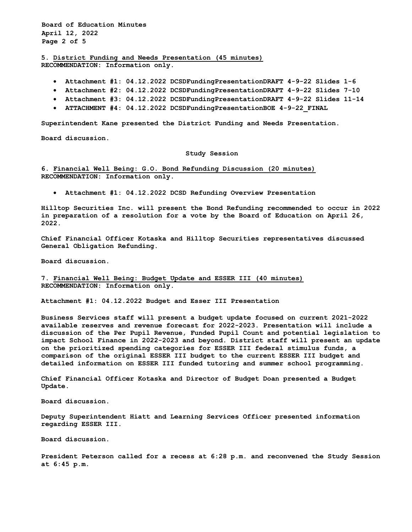**Board of Education Minutes April 12, 2022 Page 2 of 5**

**5. District Funding and Needs Presentation (45 minutes) RECOMMENDATION: Information only.**

- **Attachment #1: 04.12.2022 DCSDFundingPresentationDRAFT 4-9-22 Slides 1-6**
- **Attachment #2: 04.12.2022 DCSDFundingPresentationDRAFT 4-9-22 Slides 7-10**
- **Attachment #3: 04.12.2022 DCSDFundingPresentationDRAFT 4-9-22 Slides 11-14**
- **ATTACHMENT #4: 04.12.2022 DCSDFundingPresentationBOE 4-9-22\_FINAL**

**Superintendent Kane presented the District Funding and Needs Presentation.** 

**Board discussion.** 

## **Study Session**

**6. Financial Well Being: G.O. Bond Refunding Discussion (20 minutes) RECOMMENDATION: Information only.**

• **Attachment #1: 04.12.2022 DCSD Refunding Overview Presentation**

**Hilltop Securities Inc. will present the Bond Refunding recommended to occur in 2022 in preparation of a resolution for a vote by the Board of Education on April 26, 2022.** 

**Chief Financial Officer Kotaska and Hilltop Securities representatives discussed General Obligation Refunding.** 

**Board discussion.** 

**7. Financial Well Being: Budget Update and ESSER III (40 minutes) RECOMMENDATION: Information only.**

**Attachment #1: 04.12.2022 Budget and Esser III Presentation** 

**Business Services staff will present a budget update focused on current 2021-2022 available reserves and revenue forecast for 2022-2023. Presentation will include a discussion of the Per Pupil Revenue, Funded Pupil Count and potential legislation to impact School Finance in 2022-2023 and beyond. District staff will present an update on the prioritized spending categories for ESSER III federal stimulus funds, a comparison of the original ESSER III budget to the current ESSER III budget and detailed information on ESSER III funded tutoring and summer school programming.** 

**Chief Financial Officer Kotaska and Director of Budget Doan presented a Budget Update.**

**Board discussion.** 

**Deputy Superintendent Hiatt and Learning Services Officer presented information regarding ESSER III.** 

**Board discussion.** 

**President Peterson called for a recess at 6:28 p.m. and reconvened the Study Session at 6:45 p.m.**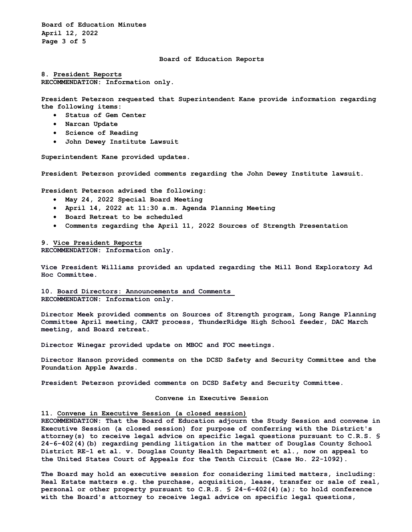**Board of Education Minutes April 12, 2022 Page 3 of 5**

## **Board of Education Reports**

**8. President Reports RECOMMENDATION: Information only.**

**President Peterson requested that Superintendent Kane provide information regarding the following items:**

- **Status of Gem Center**
- **Narcan Update**
- **Science of Reading**
- **John Dewey Institute Lawsuit**

**Superintendent Kane provided updates.**

**President Peterson provided comments regarding the John Dewey Institute lawsuit.** 

**President Peterson advised the following:** 

- **May 24, 2022 Special Board Meeting**
- **April 14, 2022 at 11:30 a.m. Agenda Planning Meeting**
- **Board Retreat to be scheduled**
- **Comments regarding the April 11, 2022 Sources of Strength Presentation**

**9. Vice President Reports RECOMMENDATION: Information only.**

**Vice President Williams provided an updated regarding the Mill Bond Exploratory Ad Hoc Committee.** 

**10. Board Directors: Announcements and Comments RECOMMENDATION: Information only.**

**Director Meek provided comments on Sources of Strength program, Long Range Planning Committee April meeting, CART process, ThunderRidge High School feeder, DAC March meeting, and Board retreat.**

**Director Winegar provided update on MBOC and FOC meetings.** 

**Director Hanson provided comments on the DCSD Safety and Security Committee and the Foundation Apple Awards.**

**President Peterson provided comments on DCSD Safety and Security Committee.**

**Convene in Executive Session**

## **11. Convene in Executive Session (a closed session)**

**RECOMMENDATION: That the Board of Education adjourn the Study Session and convene in Executive Session (a closed session) for purpose of conferring with the District's attorney(s) to receive legal advice on specific legal questions pursuant to C.R.S. § 24-6-402(4)(b) regarding pending litigation in the matter of Douglas County School District RE-1 et al. v. Douglas County Health Department et al., now on appeal to the United States Court of Appeals for the Tenth Circuit (Case No. 22-1092).**

**The Board may hold an executive session for considering limited matters, including: Real Estate matters e.g. the purchase, acquisition, lease, transfer or sale of real, personal or other property pursuant to C.R.S. § 24-6-402(4)(a); to hold conference with the Board's attorney to receive legal advice on specific legal questions,**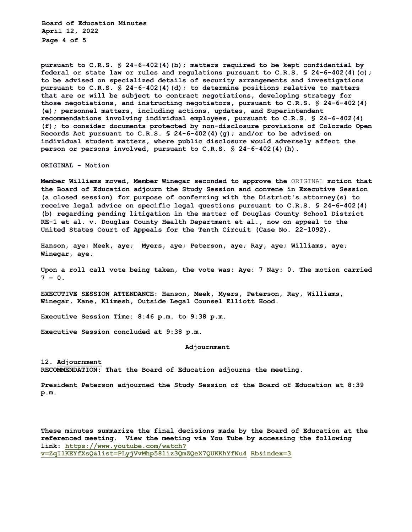**Board of Education Minutes April 12, 2022 Page 4 of 5** 

**pursuant to C.R.S. § 24-6-402(4)(b); matters required to be kept confidential by federal or state law or rules and regulations pursuant to C.R.S. § 24-6-402(4)(c); to be advised on specialized details of security arrangements and investigations pursuant to C.R.S. § 24-6-402(4)(d); to determine positions relative to matters that are or will be subject to contract negotiations, developing strategy for those negotiations, and instructing negotiators, pursuant to C.R.S. § 24-6-402(4) (e); personnel matters, including actions, updates, and Superintendent recommendations involving individual employees, pursuant to C.R.S. § 24-6-402(4) (f); to consider documents protected by non-disclosure provisions of Colorado Open Records Act pursuant to C.R.S. § 24-6-402(4)(g); and/or to be advised on individual student matters, where public disclosure would adversely affect the person or persons involved, pursuant to C.R.S. § 24-6-402(4)(h).** 

**ORIGINAL - Motion** 

**Member Williams moved, Member Winegar seconded to approve the** ORIGINAL **motion that the Board of Education adjourn the Study Session and convene in Executive Session (a closed session) for purpose of conferring with the District's attorney(s) to receive legal advice on specific legal questions pursuant to C.R.S. § 24-6-402(4) (b) regarding pending litigation in the matter of Douglas County School District RE-1 et al. v. Douglas County Health Department et al., now on appeal to the United States Court of Appeals for the Tenth Circuit (Case No. 22-1092).** 

**Hanson, aye; Meek, aye; Myers, aye; Peterson, aye; Ray, aye; Williams, aye; Winegar, aye.** 

**Upon a roll call vote being taken, the vote was: Aye: 7 Nay: 0. The motion carried**   $7 - 0.$ 

**EXECUTIVE SESSION ATTENDANCE: Hanson, Meek, Myers, Peterson, Ray, Williams, Winegar, Kane, Klimesh, Outside Legal Counsel Elliott Hood.** 

**Executive Session Time: 8:46 p.m. to 9:38 p.m.** 

**Executive Session concluded at 9:38 p.m.** 

**Adjournment** 

**12. Adjournment RECOMMENDATION: That the Board of Education adjourns the meeting.**

**President Peterson adjourned the Study Session of the Board of Education at 8:39 p.m.**

**These minutes summarize the final decisions made by the Board of Education at the referenced meeting. View the meeting via You Tube by accessing the following link: https://www.youtube.com/watch? v=ZqI1KEYfXsQ&list=PLyjVvMhp58liz3QmZQeX7QUKKhYfNu4 Rb&index=3**